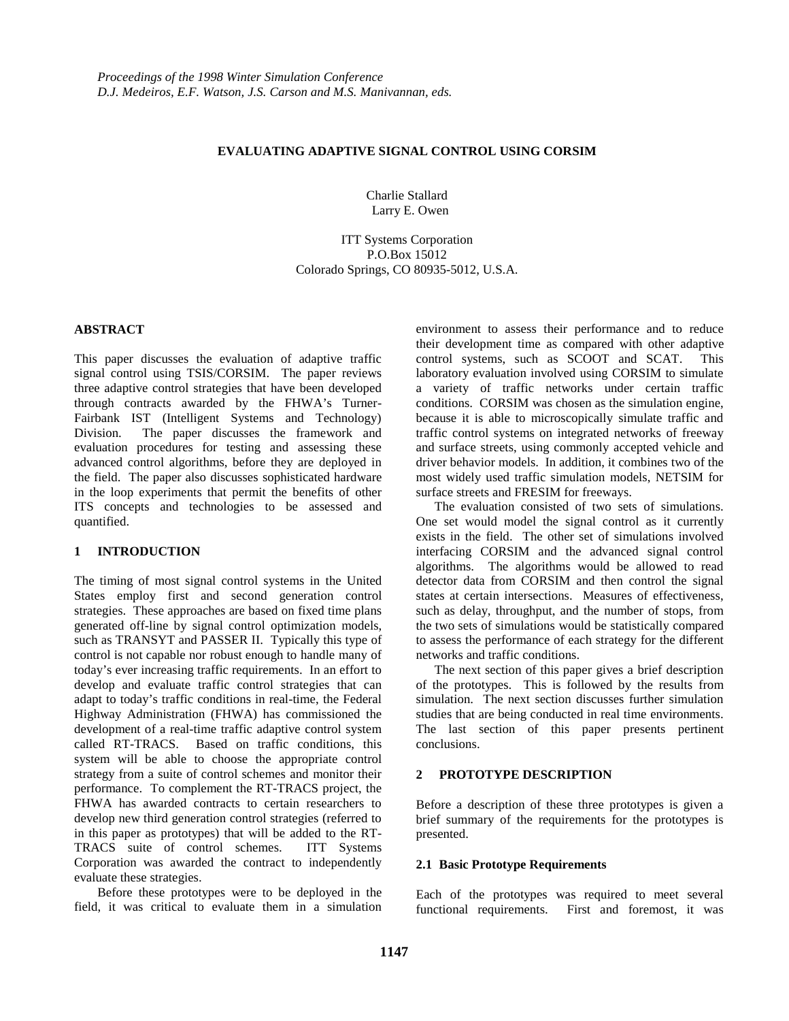## **EVALUATING ADAPTIVE SIGNAL CONTROL USING CORSIM**

Charlie Stallard Larry E. Owen

ITT Systems Corporation P.O.Box 15012 Colorado Springs, CO 80935-5012, U.S.A.

### **ABSTRACT**

This paper discusses the evaluation of adaptive traffic signal control using TSIS/CORSIM. The paper reviews three adaptive control strategies that have been developed through contracts awarded by the FHWA's Turner-Fairbank IST (Intelligent Systems and Technology) Division. The paper discusses the framework and evaluation procedures for testing and assessing these advanced control algorithms, before they are deployed in the field. The paper also discusses sophisticated hardware in the loop experiments that permit the benefits of other ITS concepts and technologies to be assessed and quantified.

### **1 INTRODUCTION**

The timing of most signal control systems in the United States employ first and second generation control strategies. These approaches are based on fixed time plans generated off-line by signal control optimization models, such as TRANSYT and PASSER II. Typically this type of control is not capable nor robust enough to handle many of today's ever increasing traffic requirements. In an effort to develop and evaluate traffic control strategies that can adapt to today's traffic conditions in real-time, the Federal Highway Administration (FHWA) has commissioned the development of a real-time traffic adaptive control system called RT-TRACS. Based on traffic conditions, this system will be able to choose the appropriate control strategy from a suite of control schemes and monitor their performance. To complement the RT-TRACS project, the FHWA has awarded contracts to certain researchers to develop new third generation control strategies (referred to in this paper as prototypes) that will be added to the RT-TRACS suite of control schemes. ITT Systems Corporation was awarded the contract to independently evaluate these strategies.

Before these prototypes were to be deployed in the field, it was critical to evaluate them in a simulation environment to assess their performance and to reduce their development time as compared with other adaptive control systems, such as SCOOT and SCAT. This laboratory evaluation involved using CORSIM to simulate a variety of traffic networks under certain traffic conditions. CORSIM was chosen as the simulation engine, because it is able to microscopically simulate traffic and traffic control systems on integrated networks of freeway and surface streets, using commonly accepted vehicle and driver behavior models. In addition, it combines two of the most widely used traffic simulation models, NETSIM for surface streets and FRESIM for freeways.

The evaluation consisted of two sets of simulations. One set would model the signal control as it currently exists in the field. The other set of simulations involved interfacing CORSIM and the advanced signal control algorithms. The algorithms would be allowed to read detector data from CORSIM and then control the signal states at certain intersections. Measures of effectiveness, such as delay, throughput, and the number of stops, from the two sets of simulations would be statistically compared to assess the performance of each strategy for the different networks and traffic conditions.

The next section of this paper gives a brief description of the prototypes. This is followed by the results from simulation. The next section discusses further simulation studies that are being conducted in real time environments. The last section of this paper presents pertinent conclusions.

#### **2 PROTOTYPE DESCRIPTION**

Before a description of these three prototypes is given a brief summary of the requirements for the prototypes is presented.

#### **2.1 Basic Prototype Requirements**

Each of the prototypes was required to meet several functional requirements. First and foremost, it was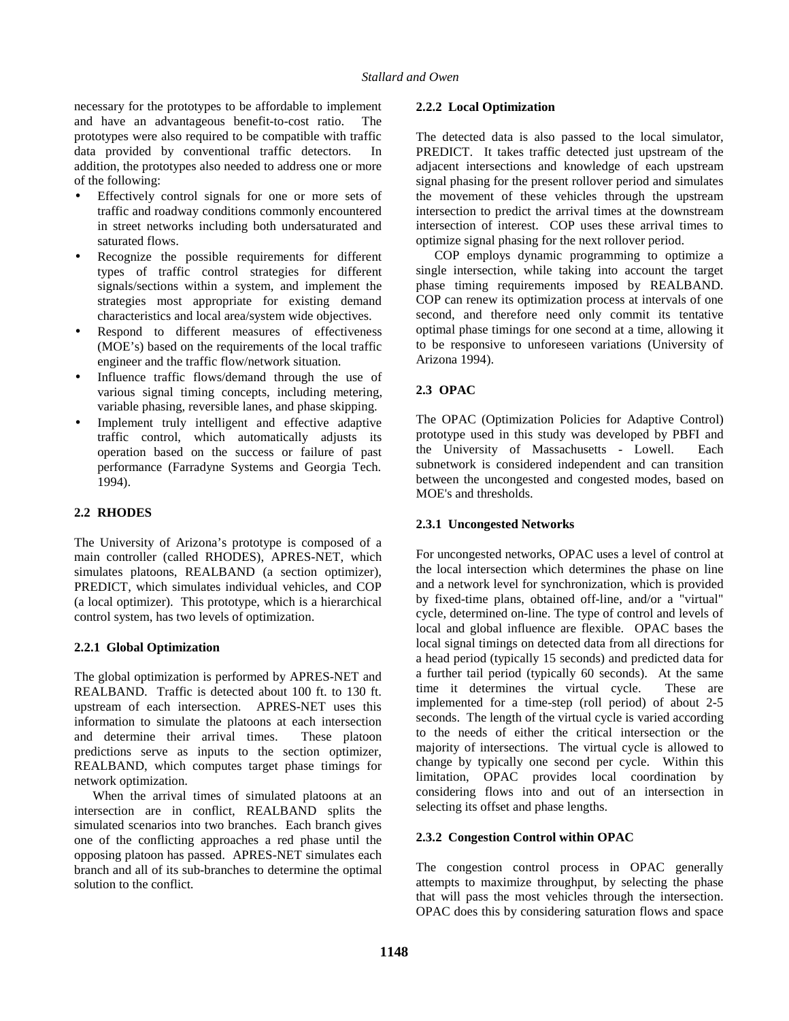necessary for the prototypes to be affordable to implement and have an advantageous benefit-to-cost ratio. The prototypes were also required to be compatible with traffic data provided by conventional traffic detectors. In addition, the prototypes also needed to address one or more of the following:

- Effectively control signals for one or more sets of traffic and roadway conditions commonly encountered in street networks including both undersaturated and saturated flows.
- Recognize the possible requirements for different types of traffic control strategies for different signals/sections within a system, and implement the strategies most appropriate for existing demand characteristics and local area/system wide objectives.
- Respond to different measures of effectiveness (MOE's) based on the requirements of the local traffic engineer and the traffic flow/network situation.
- Influence traffic flows/demand through the use of various signal timing concepts, including metering, variable phasing, reversible lanes, and phase skipping.
- Implement truly intelligent and effective adaptive traffic control, which automatically adjusts its operation based on the success or failure of past performance (Farradyne Systems and Georgia Tech. 1994).

# **2.2 RHODES**

The University of Arizona's prototype is composed of a main controller (called RHODES), APRES-NET, which simulates platoons, REALBAND (a section optimizer), PREDICT, which simulates individual vehicles, and COP (a local optimizer). This prototype, which is a hierarchical control system, has two levels of optimization.

# **2.2.1 Global Optimization**

The global optimization is performed by APRES-NET and REALBAND. Traffic is detected about 100 ft. to 130 ft. upstream of each intersection. APRES-NET uses this information to simulate the platoons at each intersection and determine their arrival times. These platoon predictions serve as inputs to the section optimizer, REALBAND, which computes target phase timings for network optimization.

When the arrival times of simulated platoons at an intersection are in conflict, REALBAND splits the simulated scenarios into two branches. Each branch gives one of the conflicting approaches a red phase until the opposing platoon has passed. APRES-NET simulates each branch and all of its sub-branches to determine the optimal solution to the conflict.

## **2.2.2 Local Optimization**

The detected data is also passed to the local simulator, PREDICT. It takes traffic detected just upstream of the adjacent intersections and knowledge of each upstream signal phasing for the present rollover period and simulates the movement of these vehicles through the upstream intersection to predict the arrival times at the downstream intersection of interest. COP uses these arrival times to optimize signal phasing for the next rollover period.

COP employs dynamic programming to optimize a single intersection, while taking into account the target phase timing requirements imposed by REALBAND. COP can renew its optimization process at intervals of one second, and therefore need only commit its tentative optimal phase timings for one second at a time, allowing it to be responsive to unforeseen variations (University of Arizona 1994).

# **2.3 OPAC**

The OPAC (Optimization Policies for Adaptive Control) prototype used in this study was developed by PBFI and the University of Massachusetts - Lowell. Each subnetwork is considered independent and can transition between the uncongested and congested modes, based on MOE's and thresholds.

# **2.3.1 Uncongested Networks**

For uncongested networks, OPAC uses a level of control at the local intersection which determines the phase on line and a network level for synchronization, which is provided by fixed-time plans, obtained off-line, and/or a "virtual" cycle, determined on-line. The type of control and levels of local and global influence are flexible. OPAC bases the local signal timings on detected data from all directions for a head period (typically 15 seconds) and predicted data for a further tail period (typically 60 seconds). At the same time it determines the virtual cycle. These are implemented for a time-step (roll period) of about 2-5 seconds. The length of the virtual cycle is varied according to the needs of either the critical intersection or the majority of intersections. The virtual cycle is allowed to change by typically one second per cycle. Within this limitation, OPAC provides local coordination by considering flows into and out of an intersection in selecting its offset and phase lengths.

# **2.3.2 Congestion Control within OPAC**

The congestion control process in OPAC generally attempts to maximize throughput, by selecting the phase that will pass the most vehicles through the intersection. OPAC does this by considering saturation flows and space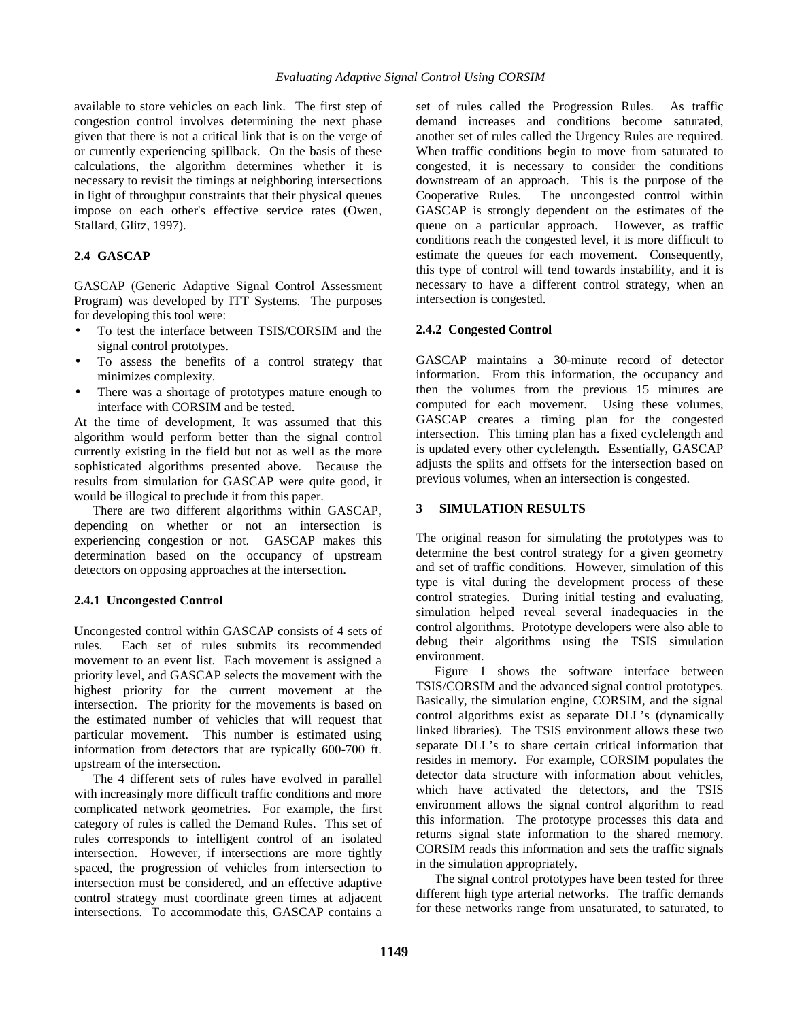available to store vehicles on each link. The first step of congestion control involves determining the next phase given that there is not a critical link that is on the verge of or currently experiencing spillback. On the basis of these calculations, the algorithm determines whether it is necessary to revisit the timings at neighboring intersections in light of throughput constraints that their physical queues impose on each other's effective service rates (Owen, Stallard, Glitz, 1997).

# **2.4 GASCAP**

GASCAP (Generic Adaptive Signal Control Assessment Program) was developed by ITT Systems. The purposes for developing this tool were:

- To test the interface between TSIS/CORSIM and the signal control prototypes.
- To assess the benefits of a control strategy that minimizes complexity.
- There was a shortage of prototypes mature enough to interface with CORSIM and be tested.

At the time of development, It was assumed that this algorithm would perform better than the signal control currently existing in the field but not as well as the more sophisticated algorithms presented above. Because the results from simulation for GASCAP were quite good, it would be illogical to preclude it from this paper.

There are two different algorithms within GASCAP, depending on whether or not an intersection is experiencing congestion or not. GASCAP makes this determination based on the occupancy of upstream detectors on opposing approaches at the intersection.

### **2.4.1 Uncongested Control**

Uncongested control within GASCAP consists of 4 sets of rules. Each set of rules submits its recommended movement to an event list. Each movement is assigned a priority level, and GASCAP selects the movement with the highest priority for the current movement at the intersection. The priority for the movements is based on the estimated number of vehicles that will request that particular movement. This number is estimated using information from detectors that are typically 600-700 ft. upstream of the intersection.

The 4 different sets of rules have evolved in parallel with increasingly more difficult traffic conditions and more complicated network geometries. For example, the first category of rules is called the Demand Rules. This set of rules corresponds to intelligent control of an isolated intersection. However, if intersections are more tightly spaced, the progression of vehicles from intersection to intersection must be considered, and an effective adaptive control strategy must coordinate green times at adjacent intersections. To accommodate this, GASCAP contains a set of rules called the Progression Rules. As traffic demand increases and conditions become saturated, another set of rules called the Urgency Rules are required. When traffic conditions begin to move from saturated to congested, it is necessary to consider the conditions downstream of an approach. This is the purpose of the Cooperative Rules. The uncongested control within GASCAP is strongly dependent on the estimates of the queue on a particular approach. However, as traffic conditions reach the congested level, it is more difficult to estimate the queues for each movement. Consequently, this type of control will tend towards instability, and it is necessary to have a different control strategy, when an intersection is congested.

## **2.4.2 Congested Control**

GASCAP maintains a 30-minute record of detector information. From this information, the occupancy and then the volumes from the previous 15 minutes are computed for each movement. Using these volumes, GASCAP creates a timing plan for the congested intersection. This timing plan has a fixed cyclelength and is updated every other cyclelength. Essentially, GASCAP adjusts the splits and offsets for the intersection based on previous volumes, when an intersection is congested.

## **3 SIMULATION RESULTS**

The original reason for simulating the prototypes was to determine the best control strategy for a given geometry and set of traffic conditions. However, simulation of this type is vital during the development process of these control strategies. During initial testing and evaluating, simulation helped reveal several inadequacies in the control algorithms. Prototype developers were also able to debug their algorithms using the TSIS simulation environment.

Figure 1 shows the software interface between TSIS/CORSIM and the advanced signal control prototypes. Basically, the simulation engine, CORSIM, and the signal control algorithms exist as separate DLL's (dynamically linked libraries). The TSIS environment allows these two separate DLL's to share certain critical information that resides in memory. For example, CORSIM populates the detector data structure with information about vehicles, which have activated the detectors, and the TSIS environment allows the signal control algorithm to read this information. The prototype processes this data and returns signal state information to the shared memory. CORSIM reads this information and sets the traffic signals in the simulation appropriately.

The signal control prototypes have been tested for three different high type arterial networks. The traffic demands for these networks range from unsaturated, to saturated, to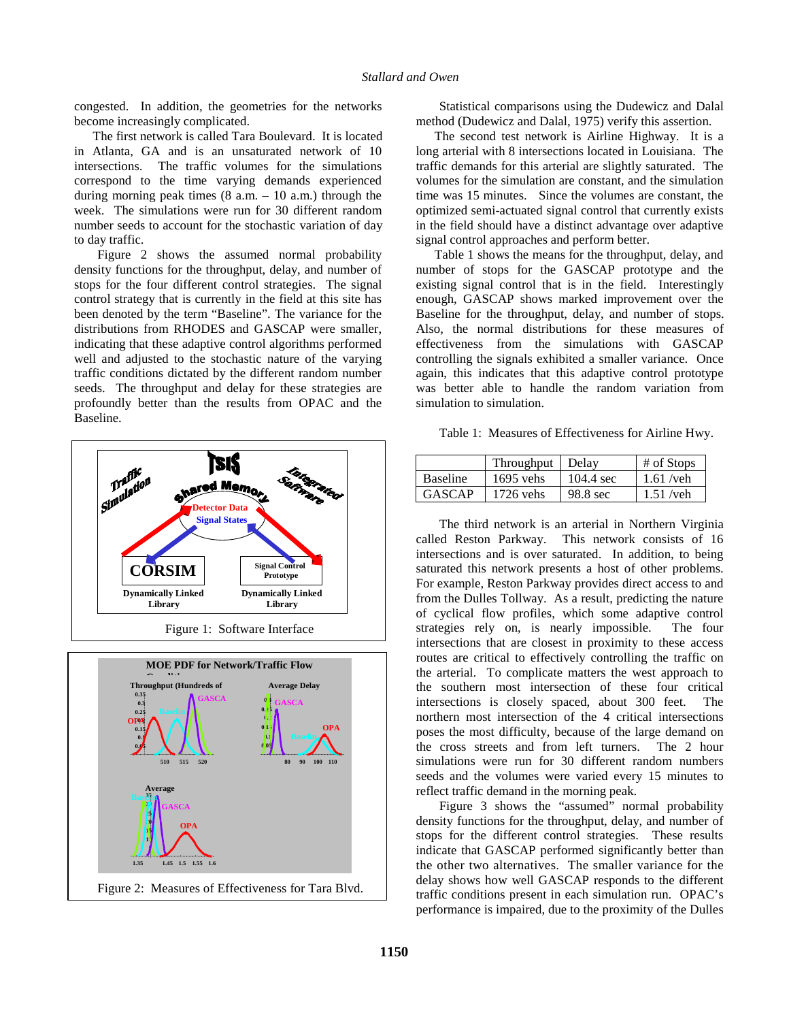congested. In addition, the geometries for the networks become increasingly complicated.

The first network is called Tara Boulevard. It is located in Atlanta, GA and is an unsaturated network of 10 intersections. The traffic volumes for the simulations correspond to the time varying demands experienced during morning peak times  $(8 \text{ a.m.} - 10 \text{ a.m.})$  through the week. The simulations were run for 30 different random number seeds to account for the stochastic variation of day to day traffic.

Figure 2 shows the assumed normal probability density functions for the throughput, delay, and number of stops for the four different control strategies. The signal control strategy that is currently in the field at this site has been denoted by the term "Baseline". The variance for the distributions from RHODES and GASCAP were smaller, indicating that these adaptive control algorithms performed well and adjusted to the stochastic nature of the varying traffic conditions dictated by the different random number seeds. The throughput and delay for these strategies are profoundly better than the results from OPAC and the Baseline.





Statistical comparisons using the Dudewicz and Dalal method (Dudewicz and Dalal, 1975) verify this assertion.

The second test network is Airline Highway. It is a long arterial with 8 intersections located in Louisiana. The traffic demands for this arterial are slightly saturated. The volumes for the simulation are constant, and the simulation time was 15 minutes. Since the volumes are constant, the optimized semi-actuated signal control that currently exists in the field should have a distinct advantage over adaptive signal control approaches and perform better.

Table 1 shows the means for the throughput, delay, and number of stops for the GASCAP prototype and the existing signal control that is in the field. Interestingly enough, GASCAP shows marked improvement over the Baseline for the throughput, delay, and number of stops. Also, the normal distributions for these measures of effectiveness from the simulations with GASCAP controlling the signals exhibited a smaller variance. Once again, this indicates that this adaptive control prototype was better able to handle the random variation from simulation to simulation.

Table 1: Measures of Effectiveness for Airline Hwy.

|                 | Throughput   Delay |           | # of Stops  |
|-----------------|--------------------|-----------|-------------|
| <b>Baseline</b> | $1695$ vehs        | 104.4 sec | $1.61$ /veh |
| GASCAP          | $1726$ vehs        | 98.8 sec  | $1.51$ /yeh |

The third network is an arterial in Northern Virginia called Reston Parkway. This network consists of 16 intersections and is over saturated. In addition, to being saturated this network presents a host of other problems. For example, Reston Parkway provides direct access to and from the Dulles Tollway. As a result, predicting the nature of cyclical flow profiles, which some adaptive control strategies rely on, is nearly impossible. The four intersections that are closest in proximity to these access routes are critical to effectively controlling the traffic on the arterial. To complicate matters the west approach to the southern most intersection of these four critical intersections is closely spaced, about 300 feet. The northern most intersection of the 4 critical intersections poses the most difficulty, because of the large demand on the cross streets and from left turners. The 2 hour simulations were run for 30 different random numbers seeds and the volumes were varied every 15 minutes to reflect traffic demand in the morning peak.

Figure 3 shows the "assumed" normal probability density functions for the throughput, delay, and number of stops for the different control strategies. These results indicate that GASCAP performed significantly better than the other two alternatives. The smaller variance for the delay shows how well GASCAP responds to the different traffic conditions present in each simulation run. OPAC's performance is impaired, due to the proximity of the Dulles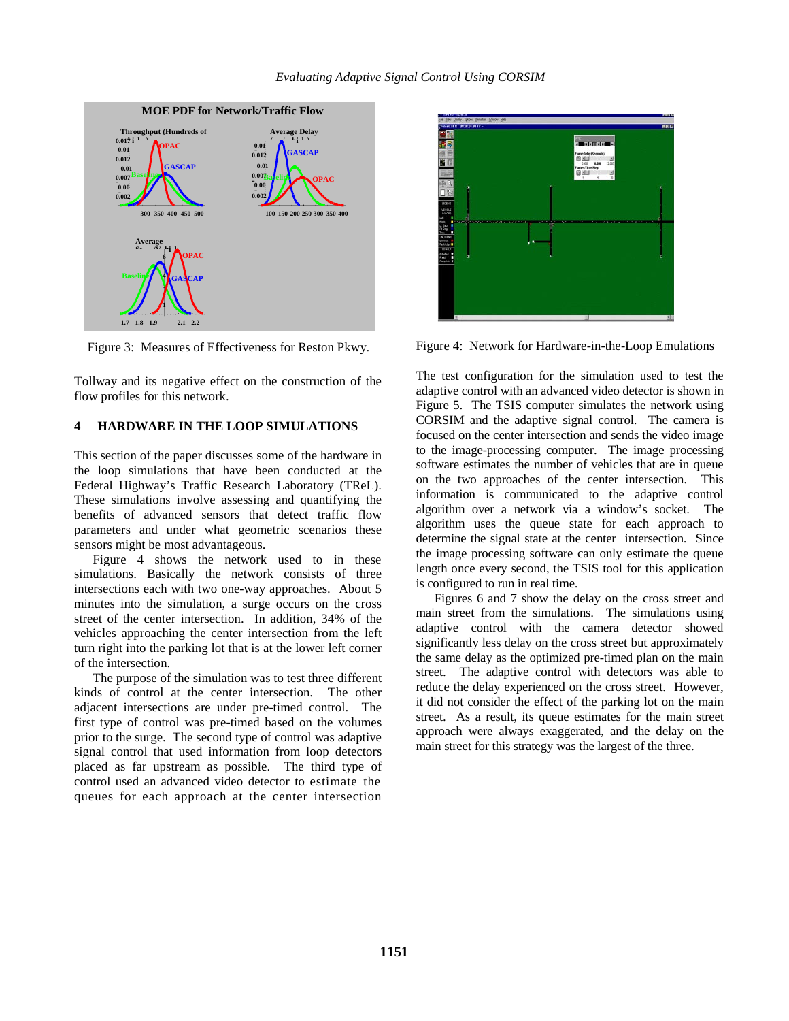

Figure 3: Measures of Effectiveness for Reston Pkwy.

Tollway and its negative effect on the construction of the flow profiles for this network.

## **4 HARDWARE IN THE LOOP SIMULATIONS**

This section of the paper discusses some of the hardware in the loop simulations that have been conducted at the Federal Highway's Traffic Research Laboratory (TReL). These simulations involve assessing and quantifying the benefits of advanced sensors that detect traffic flow parameters and under what geometric scenarios these sensors might be most advantageous.

Figure 4 shows the network used to in these simulations. Basically the network consists of three intersections each with two one-way approaches. About 5 minutes into the simulation, a surge occurs on the cross street of the center intersection. In addition, 34% of the vehicles approaching the center intersection from the left turn right into the parking lot that is at the lower left corner of the intersection.

The purpose of the simulation was to test three different kinds of control at the center intersection. The other adjacent intersections are under pre-timed control. The first type of control was pre-timed based on the volumes prior to the surge. The second type of control was adaptive signal control that used information from loop detectors placed as far upstream as possible. The third type of control used an advanced video detector to estimate the queues for each approach at the center intersection



Figure 4: Network for Hardware-in-the-Loop Emulations

The test configuration for the simulation used to test the adaptive control with an advanced video detector is shown in Figure 5. The TSIS computer simulates the network using CORSIM and the adaptive signal control. The camera is focused on the center intersection and sends the video image to the image-processing computer. The image processing software estimates the number of vehicles that are in queue on the two approaches of the center intersection. This information is communicated to the adaptive control algorithm over a network via a window's socket. The algorithm uses the queue state for each approach to determine the signal state at the center intersection. Since the image processing software can only estimate the queue length once every second, the TSIS tool for this application is configured to run in real time.

Figures 6 and 7 show the delay on the cross street and main street from the simulations. The simulations using adaptive control with the camera detector showed significantly less delay on the cross street but approximately the same delay as the optimized pre-timed plan on the main street. The adaptive control with detectors was able to reduce the delay experienced on the cross street. However, it did not consider the effect of the parking lot on the main street. As a result, its queue estimates for the main street approach were always exaggerated, and the delay on the main street for this strategy was the largest of the three.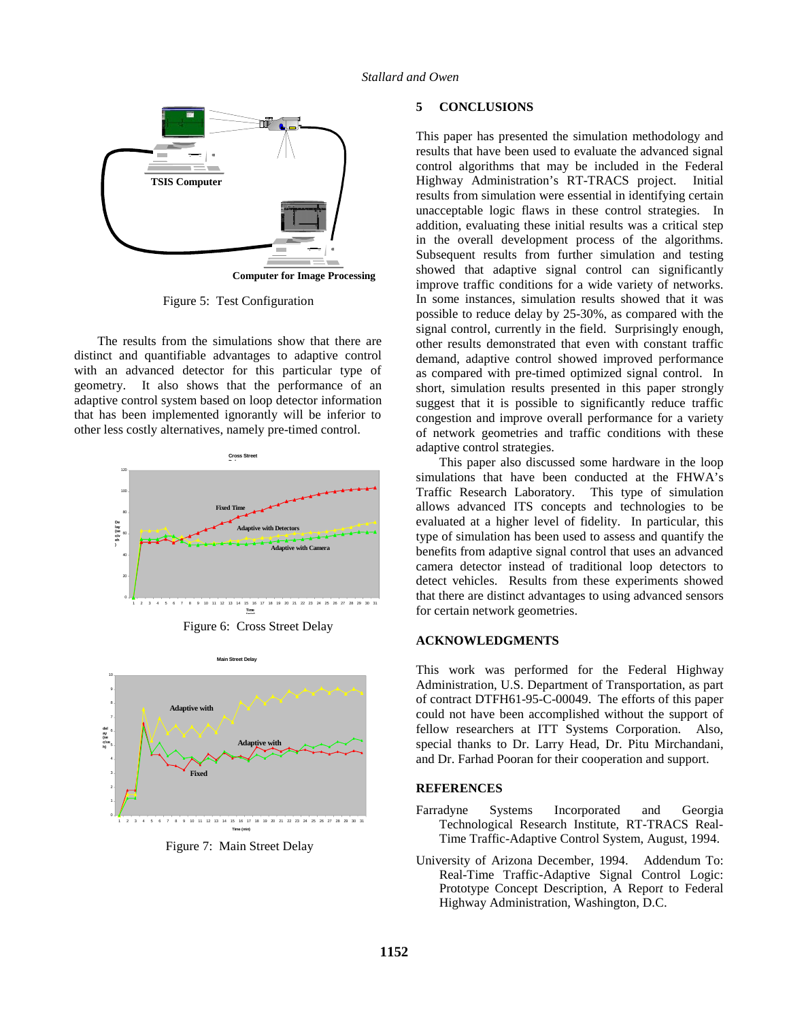

**Computer for Image Processing**

Figure 5: Test Configuration

The results from the simulations show that there are distinct and quantifiable advantages to adaptive control with an advanced detector for this particular type of geometry. It also shows that the performance of an adaptive control system based on loop detector information that has been implemented ignorantly will be inferior to other less costly alternatives, namely pre-timed control.



Figure 6: Cross Street Delay



Figure 7: Main Street Delay

#### **5 CONCLUSIONS**

This paper has presented the simulation methodology and results that have been used to evaluate the advanced signal control algorithms that may be included in the Federal Highway Administration's RT-TRACS project. Initial results from simulation were essential in identifying certain unacceptable logic flaws in these control strategies. In addition, evaluating these initial results was a critical step in the overall development process of the algorithms. Subsequent results from further simulation and testing showed that adaptive signal control can significantly improve traffic conditions for a wide variety of networks. In some instances, simulation results showed that it was possible to reduce delay by 25-30%, as compared with the signal control, currently in the field. Surprisingly enough, other results demonstrated that even with constant traffic demand, adaptive control showed improved performance as compared with pre-timed optimized signal control. In short, simulation results presented in this paper strongly suggest that it is possible to significantly reduce traffic congestion and improve overall performance for a variety of network geometries and traffic conditions with these adaptive control strategies.

This paper also discussed some hardware in the loop simulations that have been conducted at the FHWA's Traffic Research Laboratory. This type of simulation allows advanced ITS concepts and technologies to be evaluated at a higher level of fidelity. In particular, this type of simulation has been used to assess and quantify the benefits from adaptive signal control that uses an advanced camera detector instead of traditional loop detectors to detect vehicles. Results from these experiments showed that there are distinct advantages to using advanced sensors for certain network geometries.

#### **ACKNOWLEDGMENTS**

This work was performed for the Federal Highway Administration, U.S. Department of Transportation, as part of contract DTFH61-95-C-00049. The efforts of this paper could not have been accomplished without the support of fellow researchers at ITT Systems Corporation. Also, special thanks to Dr. Larry Head, Dr. Pitu Mirchandani, and Dr. Farhad Pooran for their cooperation and support.

#### **REFERENCES**

- Farradyne Systems Incorporated and Georgia Technological Research Institute, RT-TRACS Real-Time Traffic-Adaptive Control System, August, 1994.
- University of Arizona December, 1994. Addendum To: Real-Time Traffic-Adaptive Signal Control Logic: Prototype Concept Description, A Repor*t* to Federal Highway Administration, Washington, D.C.